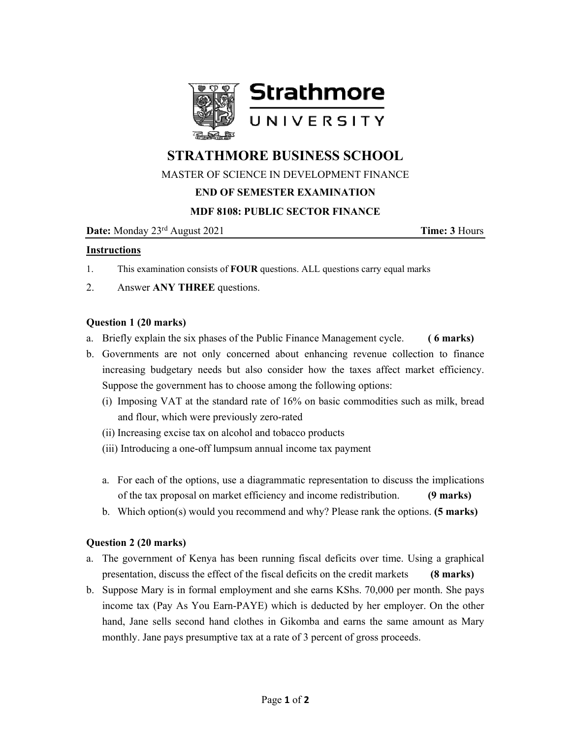

# **STRATHMORE BUSINESS SCHOOL**

## MASTER OF SCIENCE IN DEVELOPMENT FINANCE

### **END OF SEMESTER EXAMINATION**

#### **MDF 8108: PUBLIC SECTOR FINANCE**

**Date:** Monday 23<sup>rd</sup> August 2021 **Time: 3** Hours

#### **Instructions**

- 1. This examination consists of **FOUR** questions. ALL questions carry equal marks
- 2. Answer **ANY THREE** questions.

#### **Question 1 (20 marks)**

- a. Briefly explain the six phases of the Public Finance Management cycle. **( 6 marks)**
- b. Governments are not only concerned about enhancing revenue collection to finance increasing budgetary needs but also consider how the taxes affect market efficiency. Suppose the government has to choose among the following options:
	- (i) Imposing VAT at the standard rate of 16% on basic commodities such as milk, bread and flour, which were previously zero-rated
	- (ii) Increasing excise tax on alcohol and tobacco products
	- (iii) Introducing a one-off lumpsum annual income tax payment
	- a. For each of the options, use a diagrammatic representation to discuss the implications of the tax proposal on market efficiency and income redistribution. **(9 marks)**
	- b. Which option(s) would you recommend and why? Please rank the options. **(5 marks)**

#### **Question 2 (20 marks)**

- a. The government of Kenya has been running fiscal deficits over time. Using a graphical presentation, discuss the effect of the fiscal deficits on the credit markets **(8 marks)**
- b. Suppose Mary is in formal employment and she earns KShs. 70,000 per month. She pays income tax (Pay As You Earn-PAYE) which is deducted by her employer. On the other hand, Jane sells second hand clothes in Gikomba and earns the same amount as Mary monthly. Jane pays presumptive tax at a rate of 3 percent of gross proceeds.